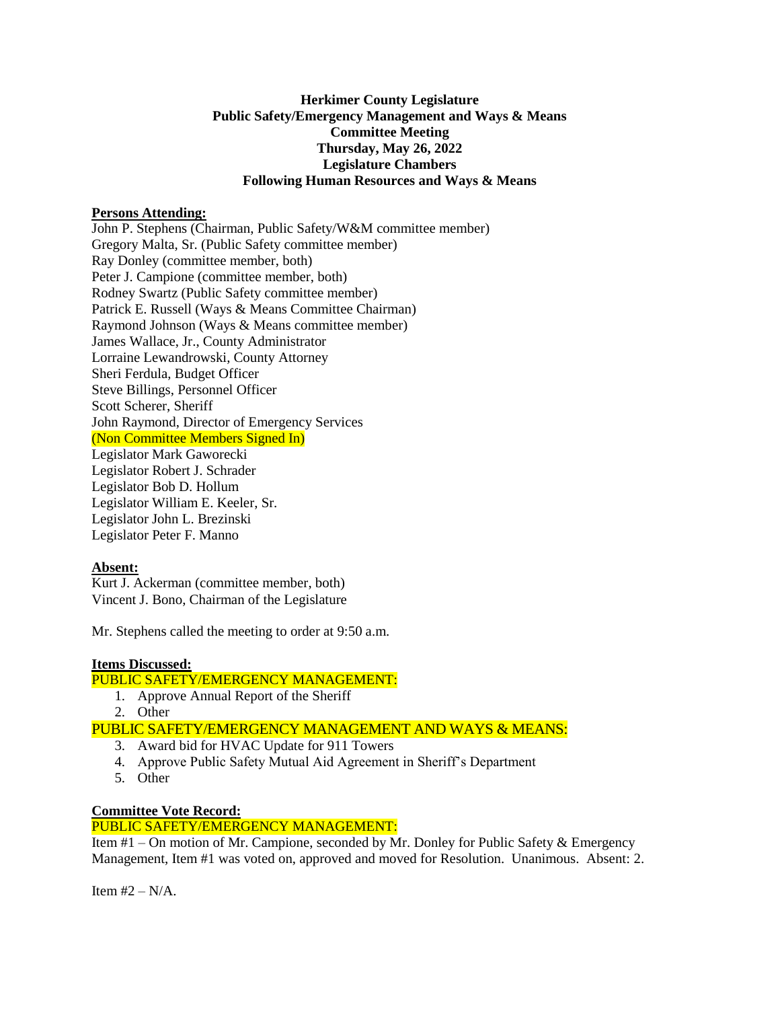### **Herkimer County Legislature Public Safety/Emergency Management and Ways & Means Committee Meeting Thursday, May 26, 2022 Legislature Chambers Following Human Resources and Ways & Means**

#### **Persons Attending:**

John P. Stephens (Chairman, Public Safety/W&M committee member) Gregory Malta, Sr. (Public Safety committee member) Ray Donley (committee member, both) Peter J. Campione (committee member, both) Rodney Swartz (Public Safety committee member) Patrick E. Russell (Ways & Means Committee Chairman) Raymond Johnson (Ways & Means committee member) James Wallace, Jr., County Administrator Lorraine Lewandrowski, County Attorney Sheri Ferdula, Budget Officer Steve Billings, Personnel Officer Scott Scherer, Sheriff John Raymond, Director of Emergency Services (Non Committee Members Signed In) Legislator Mark Gaworecki Legislator Robert J. Schrader Legislator Bob D. Hollum Legislator William E. Keeler, Sr. Legislator John L. Brezinski Legislator Peter F. Manno

# **Absent:**

Kurt J. Ackerman (committee member, both) Vincent J. Bono, Chairman of the Legislature

Mr. Stephens called the meeting to order at 9:50 a.m.

#### **Items Discussed:**

### PUBLIC SAFETY/EMERGENCY MANAGEMENT:

- 1. Approve Annual Report of the Sheriff
- 2. Other

PUBLIC SAFETY/EMERGENCY MANAGEMENT AND WAYS & MEANS:

- 3. Award bid for HVAC Update for 911 Towers
- 4. Approve Public Safety Mutual Aid Agreement in Sheriff's Department
- 5. Other

# **Committee Vote Record:**

PUBLIC SAFETY/EMERGENCY MANAGEMENT:

Item #1 – On motion of Mr. Campione, seconded by Mr. Donley for Public Safety & Emergency Management, Item #1 was voted on, approved and moved for Resolution. Unanimous. Absent: 2.

Item  $#2 - N/A$ .